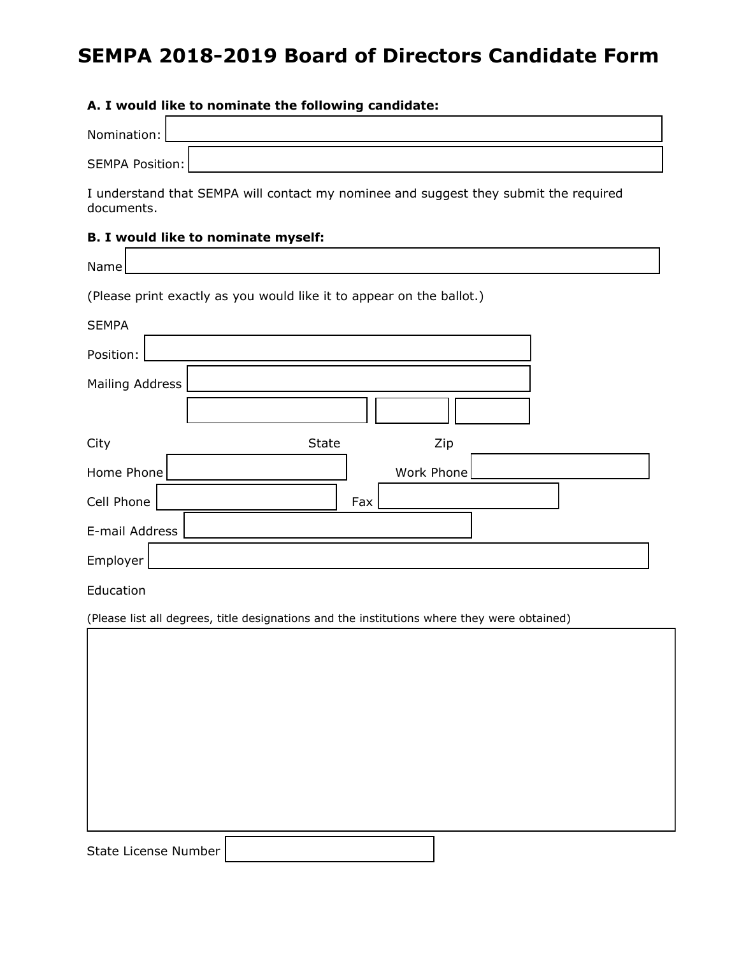# **SEMPA 2018-2019 Board of Directors Candidate Form**

#### **A. I would like to nominate the following candidate:**

| Nomination:     |  |
|-----------------|--|
| SEMPA Position: |  |

I understand that SEMPA will contact my nominee and suggest they submit the required documents.

### **B. I would like to nominate myself:**

| Name                                                                                        |
|---------------------------------------------------------------------------------------------|
| (Please print exactly as you would like it to appear on the ballot.)                        |
| <b>SEMPA</b>                                                                                |
| Position:                                                                                   |
| Mailing Address                                                                             |
| State<br>Zip<br>City                                                                        |
| Work Phone<br>Home Phone                                                                    |
| Cell Phone<br>Fax                                                                           |
| E-mail Address                                                                              |
| Employer                                                                                    |
| Education                                                                                   |
| (Please list all degrees, title designations and the institutions where they were obtained) |
|                                                                                             |
|                                                                                             |
|                                                                                             |
|                                                                                             |
|                                                                                             |

State License Number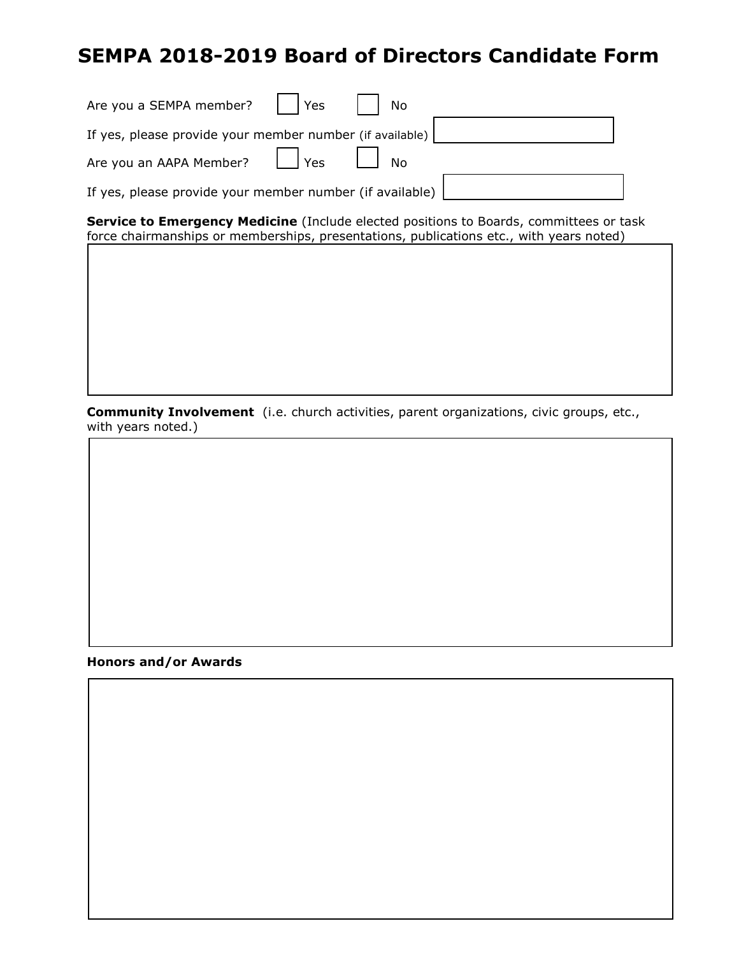## **SEMPA 2018-2019 Board of Directors Candidate Form**

| Are you a SEMPA member?     Yes     No                                     |  |  |
|----------------------------------------------------------------------------|--|--|
| If yes, please provide your member number (if available)                   |  |  |
| Are you an AAPA Member? $\boxed{\phantom{a}}$ Yes $\boxed{\phantom{a}}$ No |  |  |
| If yes, please provide your member number (if available)                   |  |  |

**Service to Emergency Medicine** (Include elected positions to Boards, committees or task force chairmanships or memberships, presentations, publications etc., with years noted)

**Community Involvement** (i.e. church activities, parent organizations, civic groups, etc., with years noted.)

#### **Honors and/or Awards**